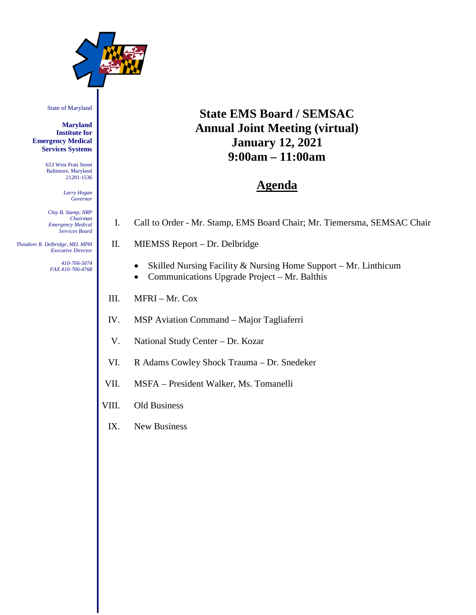

#### State of Maryland

**Maryland Institute for Emergency Medical Services Systems**

> 653 West Pratt Street Baltimore, Maryland 21201-1536

> > *Larry Hogan Governor*

*Clay B. Stamp, NRP Chairman Emergency Medical Services Board*

 *Theodore R. Delbridge, MD, MPH Executive Director*

> *410-706-5074 FAX 410-706-4768*

# **State EMS Board / SEMSAC Annual Joint Meeting (virtual) January 12, 2021 9:00am – 11:00am**

# **Agenda**

- I. Call to Order Mr. Stamp, EMS Board Chair; Mr. Tiemersma, SEMSAC Chair
- II. MIEMSS Report Dr. Delbridge
	- Skilled Nursing Facility & Nursing Home Support Mr. Linthicum
	- Communications Upgrade Project Mr. Balthis
- III. MFRI Mr. Cox
- IV. MSP Aviation Command Major Tagliaferri
- V. National Study Center Dr. Kozar
- VI. R Adams Cowley Shock Trauma Dr. Snedeker
- VII. MSFA President Walker, Ms. Tomanelli
- VIII. Old Business
- IX. New Business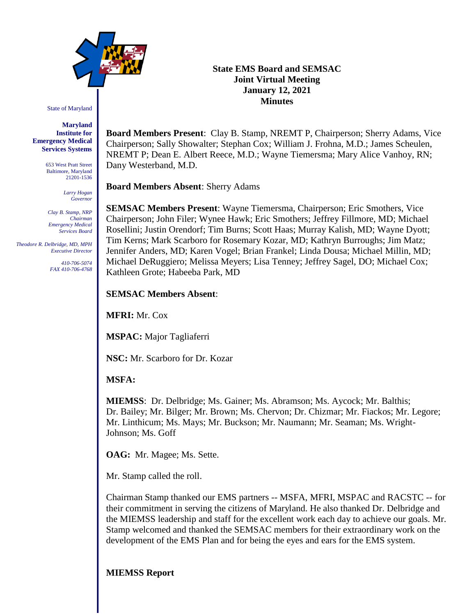

State of Maryland

**Maryland Institute for Emergency Medical Services Systems**

> 653 West Pratt Street Baltimore, Maryland 21201-1536

> > *Larry Hogan Governor*

*Clay B. Stamp, NRP Chairman Emergency Medical Services Board*

 *Theodore R. Delbridge, MD, MPH Executive Director*

> *410-706-5074 FAX 410-706-4768*

**State EMS Board and SEMSAC Joint Virtual Meeting January 12, 2021 Minutes**

**Board Members Present**: Clay B. Stamp, NREMT P, Chairperson; Sherry Adams, Vice Chairperson; Sally Showalter; Stephan Cox; William J. Frohna, M.D.; James Scheulen, NREMT P; Dean E. Albert Reece, M.D.; Wayne Tiemersma; Mary Alice Vanhoy, RN; Dany Westerband, M.D.

**Board Members Absent**: Sherry Adams

**SEMSAC Members Present**: Wayne Tiemersma, Chairperson; Eric Smothers, Vice Chairperson; John Filer; Wynee Hawk; Eric Smothers; Jeffrey Fillmore, MD; Michael Rosellini; Justin Orendorf; Tim Burns; Scott Haas; Murray Kalish, MD; Wayne Dyott; Tim Kerns; Mark Scarboro for Rosemary Kozar, MD; Kathryn Burroughs; Jim Matz; Jennifer Anders, MD; Karen Vogel; Brian Frankel; Linda Dousa; Michael Millin, MD; Michael DeRuggiero; Melissa Meyers; Lisa Tenney; Jeffrey Sagel, DO; Michael Cox; Kathleen Grote; Habeeba Park, MD

#### **SEMSAC Members Absent**:

**MFRI:** Mr. Cox

**MSPAC:** Major Tagliaferri

**NSC:** Mr. Scarboro for Dr. Kozar

**MSFA:**

**MIEMSS**: Dr. Delbridge; Ms. Gainer; Ms. Abramson; Ms. Aycock; Mr. Balthis; Dr. Bailey; Mr. Bilger; Mr. Brown; Ms. Chervon; Dr. Chizmar; Mr. Fiackos; Mr. Legore; Mr. Linthicum; Ms. Mays; Mr. Buckson; Mr. Naumann; Mr. Seaman; Ms. Wright-Johnson; Ms. Goff

**OAG:** Mr. Magee; Ms. Sette.

Mr. Stamp called the roll.

Chairman Stamp thanked our EMS partners -- MSFA, MFRI, MSPAC and RACSTC -- for their commitment in serving the citizens of Maryland. He also thanked Dr. Delbridge and the MIEMSS leadership and staff for the excellent work each day to achieve our goals. Mr. Stamp welcomed and thanked the SEMSAC members for their extraordinary work on the development of the EMS Plan and for being the eyes and ears for the EMS system.

# **MIEMSS Report**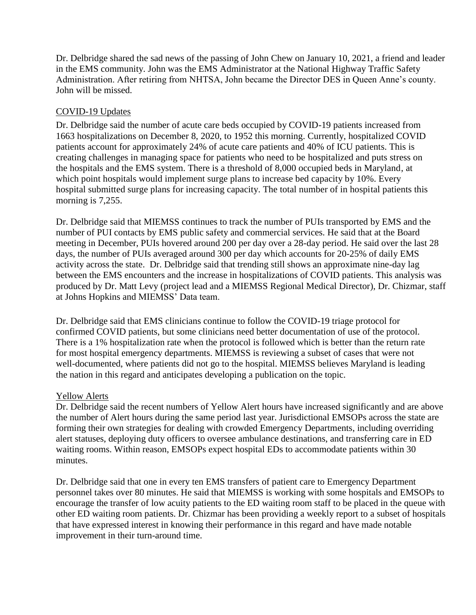Dr. Delbridge shared the sad news of the passing of John Chew on January 10, 2021, a friend and leader in the EMS community. John was the EMS Administrator at the National Highway Traffic Safety Administration. After retiring from NHTSA, John became the Director DES in Queen Anne's county. John will be missed.

# COVID-19 Updates

Dr. Delbridge said the number of acute care beds occupied by COVID-19 patients increased from 1663 hospitalizations on December 8, 2020, to 1952 this morning. Currently, hospitalized COVID patients account for approximately 24% of acute care patients and 40% of ICU patients. This is creating challenges in managing space for patients who need to be hospitalized and puts stress on the hospitals and the EMS system. There is a threshold of 8,000 occupied beds in Maryland, at which point hospitals would implement surge plans to increase bed capacity by 10%. Every hospital submitted surge plans for increasing capacity. The total number of in hospital patients this morning is 7,255.

Dr. Delbridge said that MIEMSS continues to track the number of PUIs transported by EMS and the number of PUI contacts by EMS public safety and commercial services. He said that at the Board meeting in December, PUIs hovered around 200 per day over a 28-day period. He said over the last 28 days, the number of PUIs averaged around 300 per day which accounts for 20-25% of daily EMS activity across the state. Dr. Delbridge said that trending still shows an approximate nine-day lag between the EMS encounters and the increase in hospitalizations of COVID patients. This analysis was produced by Dr. Matt Levy (project lead and a MIEMSS Regional Medical Director), Dr. Chizmar, staff at Johns Hopkins and MIEMSS' Data team.

Dr. Delbridge said that EMS clinicians continue to follow the COVID-19 triage protocol for confirmed COVID patients, but some clinicians need better documentation of use of the protocol. There is a 1% hospitalization rate when the protocol is followed which is better than the return rate for most hospital emergency departments. MIEMSS is reviewing a subset of cases that were not well-documented, where patients did not go to the hospital. MIEMSS believes Maryland is leading the nation in this regard and anticipates developing a publication on the topic.

#### Yellow Alerts

Dr. Delbridge said the recent numbers of Yellow Alert hours have increased significantly and are above the number of Alert hours during the same period last year. Jurisdictional EMSOPs across the state are forming their own strategies for dealing with crowded Emergency Departments, including overriding alert statuses, deploying duty officers to oversee ambulance destinations, and transferring care in ED waiting rooms. Within reason, EMSOPs expect hospital EDs to accommodate patients within 30 minutes.

Dr. Delbridge said that one in every ten EMS transfers of patient care to Emergency Department personnel takes over 80 minutes. He said that MIEMSS is working with some hospitals and EMSOPs to encourage the transfer of low acuity patients to the ED waiting room staff to be placed in the queue with other ED waiting room patients. Dr. Chizmar has been providing a weekly report to a subset of hospitals that have expressed interest in knowing their performance in this regard and have made notable improvement in their turn-around time.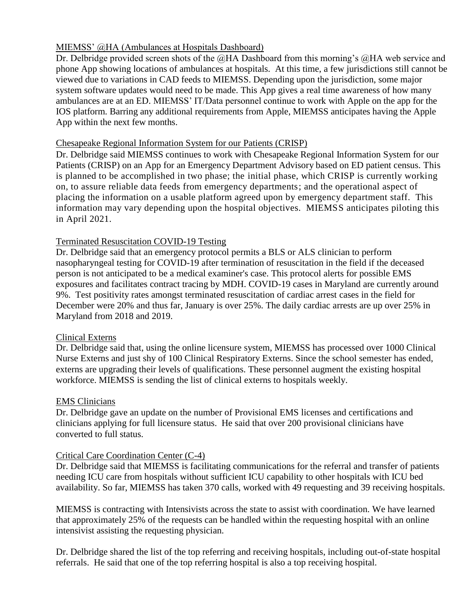# MIEMSS' @HA (Ambulances at Hospitals Dashboard)

Dr. Delbridge provided screen shots of the @HA Dashboard from this morning's @HA web service and phone App showing locations of ambulances at hospitals. At this time, a few jurisdictions still cannot be viewed due to variations in CAD feeds to MIEMSS. Depending upon the jurisdiction, some major system software updates would need to be made. This App gives a real time awareness of how many ambulances are at an ED. MIEMSS' IT/Data personnel continue to work with Apple on the app for the IOS platform. Barring any additional requirements from Apple, MIEMSS anticipates having the Apple App within the next few months.

# Chesapeake Regional Information System for our Patients (CRISP)

Dr. Delbridge said MIEMSS continues to work with Chesapeake Regional Information System for our Patients (CRISP) on an App for an Emergency Department Advisory based on ED patient census. This is planned to be accomplished in two phase; the initial phase, which CRISP is currently working on, to assure reliable data feeds from emergency departments; and the operational aspect of placing the information on a usable platform agreed upon by emergency department staff. This information may vary depending upon the hospital objectives. MIEMSS anticipates piloting this in April 2021.

# Terminated Resuscitation COVID-19 Testing

Dr. Delbridge said that an emergency protocol permits a BLS or ALS clinician to perform nasopharyngeal testing for COVID-19 after termination of resuscitation in the field if the deceased person is not anticipated to be a medical examiner's case. This protocol alerts for possible EMS exposures and facilitates contract tracing by MDH. COVID-19 cases in Maryland are currently around 9%. Test positivity rates amongst terminated resuscitation of cardiac arrest cases in the field for December were 20% and thus far, January is over 25%. The daily cardiac arrests are up over 25% in Maryland from 2018 and 2019.

# Clinical Externs

Dr. Delbridge said that, using the online licensure system, MIEMSS has processed over 1000 Clinical Nurse Externs and just shy of 100 Clinical Respiratory Externs. Since the school semester has ended, externs are upgrading their levels of qualifications. These personnel augment the existing hospital workforce. MIEMSS is sending the list of clinical externs to hospitals weekly.

# EMS Clinicians

Dr. Delbridge gave an update on the number of Provisional EMS licenses and certifications and clinicians applying for full licensure status. He said that over 200 provisional clinicians have converted to full status.

# Critical Care Coordination Center (C-4)

Dr. Delbridge said that MIEMSS is facilitating communications for the referral and transfer of patients needing ICU care from hospitals without sufficient ICU capability to other hospitals with ICU bed availability. So far, MIEMSS has taken 370 calls, worked with 49 requesting and 39 receiving hospitals.

MIEMSS is contracting with Intensivists across the state to assist with coordination. We have learned that approximately 25% of the requests can be handled within the requesting hospital with an online intensivist assisting the requesting physician.

Dr. Delbridge shared the list of the top referring and receiving hospitals, including out-of-state hospital referrals. He said that one of the top referring hospital is also a top receiving hospital.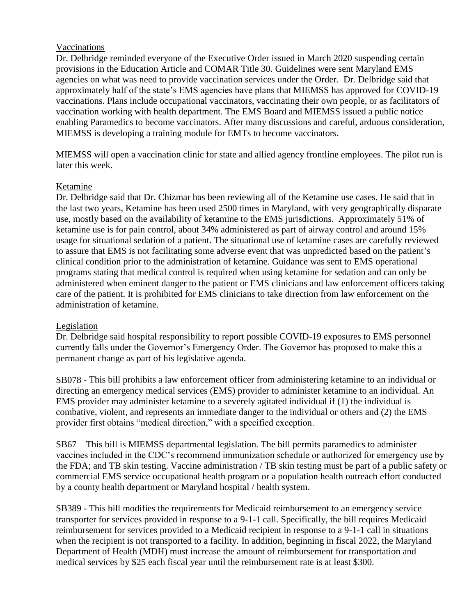#### Vaccinations

Dr. Delbridge reminded everyone of the Executive Order issued in March 2020 suspending certain provisions in the Education Article and COMAR Title 30. Guidelines were sent Maryland EMS agencies on what was need to provide vaccination services under the Order. Dr. Delbridge said that approximately half of the state's EMS agencies have plans that MIEMSS has approved for COVID-19 vaccinations. Plans include occupational vaccinators, vaccinating their own people, or as facilitators of vaccination working with health department. The EMS Board and MIEMSS issued a public notice enabling Paramedics to become vaccinators. After many discussions and careful, arduous consideration, MIEMSS is developing a training module for EMTs to become vaccinators.

MIEMSS will open a vaccination clinic for state and allied agency frontline employees. The pilot run is later this week.

#### Ketamine

Dr. Delbridge said that Dr. Chizmar has been reviewing all of the Ketamine use cases. He said that in the last two years, Ketamine has been used 2500 times in Maryland, with very geographically disparate use, mostly based on the availability of ketamine to the EMS jurisdictions. Approximately 51% of ketamine use is for pain control, about 34% administered as part of airway control and around 15% usage for situational sedation of a patient. The situational use of ketamine cases are carefully reviewed to assure that EMS is not facilitating some adverse event that was unpredicted based on the patient's clinical condition prior to the administration of ketamine. Guidance was sent to EMS operational programs stating that medical control is required when using ketamine for sedation and can only be administered when eminent danger to the patient or EMS clinicians and law enforcement officers taking care of the patient. It is prohibited for EMS clinicians to take direction from law enforcement on the administration of ketamine.

#### Legislation

Dr. Delbridge said hospital responsibility to report possible COVID-19 exposures to EMS personnel currently falls under the Governor's Emergency Order. The Governor has proposed to make this a permanent change as part of his legislative agenda.

SB078 - This bill prohibits a law enforcement officer from administering ketamine to an individual or directing an emergency medical services (EMS) provider to administer ketamine to an individual. An EMS provider may administer ketamine to a severely agitated individual if (1) the individual is combative, violent, and represents an immediate danger to the individual or others and (2) the EMS provider first obtains "medical direction," with a specified exception.

SB67 – This bill is MIEMSS departmental legislation. The bill permits paramedics to administer vaccines included in the CDC's recommend immunization schedule or authorized for emergency use by the FDA; and TB skin testing. Vaccine administration / TB skin testing must be part of a public safety or commercial EMS service occupational health program or a population health outreach effort conducted by a county health department or Maryland hospital / health system.

SB389 - This bill modifies the requirements for Medicaid reimbursement to an emergency service transporter for services provided in response to a 9-1-1 call. Specifically, the bill requires Medicaid reimbursement for services provided to a Medicaid recipient in response to a 9-1-1 call in situations when the recipient is not transported to a facility. In addition, beginning in fiscal 2022, the Maryland Department of Health (MDH) must increase the amount of reimbursement for transportation and medical services by \$25 each fiscal year until the reimbursement rate is at least \$300.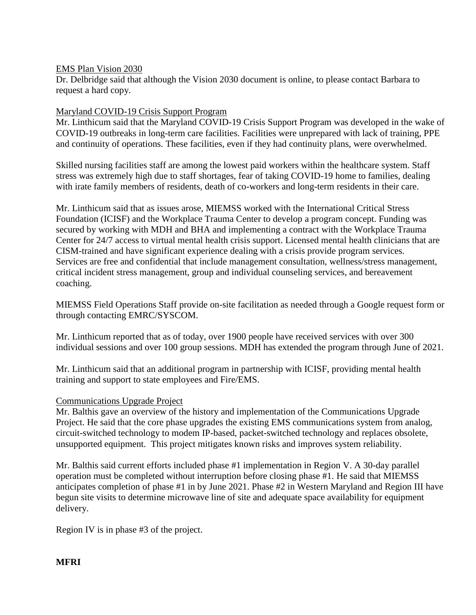#### EMS Plan Vision 2030

Dr. Delbridge said that although the Vision 2030 document is online, to please contact Barbara to request a hard copy.

### Maryland COVID-19 Crisis Support Program

Mr. Linthicum said that the Maryland COVID-19 Crisis Support Program was developed in the wake of COVID-19 outbreaks in long-term care facilities. Facilities were unprepared with lack of training, PPE and continuity of operations. These facilities, even if they had continuity plans, were overwhelmed.

Skilled nursing facilities staff are among the lowest paid workers within the healthcare system. Staff stress was extremely high due to staff shortages, fear of taking COVID-19 home to families, dealing with irate family members of residents, death of co-workers and long-term residents in their care.

Mr. Linthicum said that as issues arose, MIEMSS worked with the International Critical Stress Foundation (ICISF) and the Workplace Trauma Center to develop a program concept. Funding was secured by working with MDH and BHA and implementing a contract with the Workplace Trauma Center for 24/7 access to virtual mental health crisis support. Licensed mental health clinicians that are CISM-trained and have significant experience dealing with a crisis provide program services. Services are free and confidential that include management consultation, wellness/stress management, critical incident stress management, group and individual counseling services, and bereavement coaching.

MIEMSS Field Operations Staff provide on-site facilitation as needed through a Google request form or through contacting EMRC/SYSCOM.

Mr. Linthicum reported that as of today, over 1900 people have received services with over 300 individual sessions and over 100 group sessions. MDH has extended the program through June of 2021.

Mr. Linthicum said that an additional program in partnership with ICISF, providing mental health training and support to state employees and Fire/EMS.

#### Communications Upgrade Project

Mr. Balthis gave an overview of the history and implementation of the Communications Upgrade Project. He said that the core phase upgrades the existing EMS communications system from analog, circuit-switched technology to modem IP-based, packet-switched technology and replaces obsolete, unsupported equipment. This project mitigates known risks and improves system reliability.

Mr. Balthis said current efforts included phase #1 implementation in Region V. A 30-day parallel operation must be completed without interruption before closing phase #1. He said that MIEMSS anticipates completion of phase #1 in by June 2021. Phase #2 in Western Maryland and Region III have begun site visits to determine microwave line of site and adequate space availability for equipment delivery.

Region IV is in phase #3 of the project.

# **MFRI**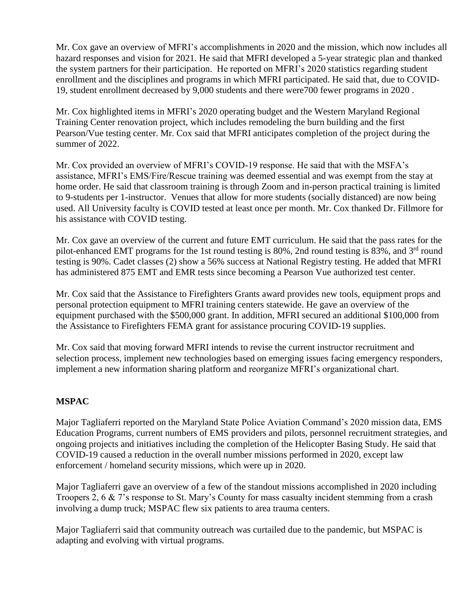Mr. Cox gave an overview of MFRI's accomplishments in 2020 and the mission, which now includes all hazard responses and vision for 2021. He said that MFRI developed a 5-year strategic plan and thanked the system partners for their participation. He reported on MFRI's 2020 statistics regarding student enrollment and the disciplines and programs in which MFRI participated. He said that, due to COVID-19, student enrollment decreased by 9,000 students and there were700 fewer programs in 2020 .

Mr. Cox highlighted items in MFRI's 2020 operating budget and the Western Maryland Regional Training Center renovation project, which includes remodeling the burn building and the first Pearson/Vue testing center. Mr. Cox said that MFRI anticipates completion of the project during the summer of 2022.

Mr. Cox provided an overview of MFRI's COVID-19 response. He said that with the MSFA's assistance, MFRI's EMS/Fire/Rescue training was deemed essential and was exempt from the stay at home order. He said that classroom training is through Zoom and in-person practical training is limited to 9-students per 1-instructor. Venues that allow for more students (socially distanced) are now being used. All University faculty is COVID tested at least once per month. Mr. Cox thanked Dr. Fillmore for his assistance with COVID testing.

Mr. Cox gave an overview of the current and future EMT curriculum. He said that the pass rates for the pilot-enhanced EMT programs for the 1st round testing is 80%, 2nd round testing is 83%, and 3rd round testing is 90%. Cadet classes (2) show a 56% success at National Registry testing. He added that MFRI has administered 875 EMT and EMR tests since becoming a Pearson Vue authorized test center.

Mr. Cox said that the Assistance to Firefighters Grants award provides new tools, equipment props and personal protection equipment to MFRI training centers statewide. He gave an overview of the equipment purchased with the \$500,000 grant. In addition, MFRI secured an additional \$100,000 from the Assistance to Firefighters FEMA grant for assistance procuring COVID-19 supplies.

Mr. Cox said that moving forward MFRI intends to revise the current instructor recruitment and selection process, implement new technologies based on emerging issues facing emergency responders, implement a new information sharing platform and reorganize MFRI's organizational chart.

# **MSPAC**

Major Tagliaferri reported on the Maryland State Police Aviation Command's 2020 mission data, EMS Education Programs, current numbers of EMS providers and pilots, personnel recruitment strategies, and ongoing projects and initiatives including the completion of the Helicopter Basing Study. He said that COVID-19 caused a reduction in the overall number missions performed in 2020, except law enforcement / homeland security missions, which were up in 2020.

Major Tagliaferri gave an overview of a few of the standout missions accomplished in 2020 including Troopers 2, 6 & 7's response to St. Mary's County for mass casualty incident stemming from a crash involving a dump truck; MSPAC flew six patients to area trauma centers.

Major Tagliaferri said that community outreach was curtailed due to the pandemic, but MSPAC is adapting and evolving with virtual programs.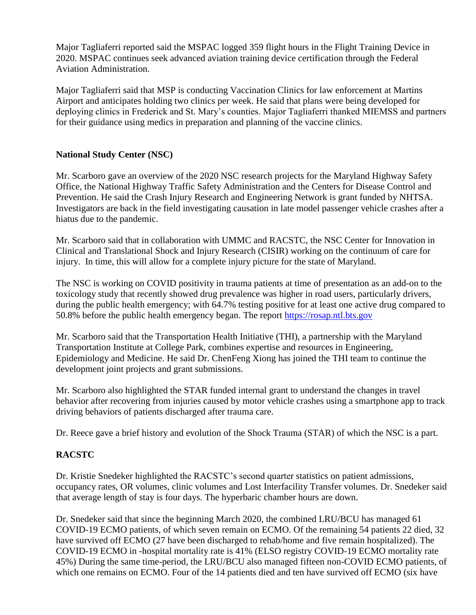Major Tagliaferri reported said the MSPAC logged 359 flight hours in the Flight Training Device in 2020. MSPAC continues seek advanced aviation training device certification through the Federal Aviation Administration.

Major Tagliaferri said that MSP is conducting Vaccination Clinics for law enforcement at Martins Airport and anticipates holding two clinics per week. He said that plans were being developed for deploying clinics in Frederick and St. Mary's counties. Major Tagliaferri thanked MIEMSS and partners for their guidance using medics in preparation and planning of the vaccine clinics.

# **National Study Center (NSC)**

Mr. Scarboro gave an overview of the 2020 NSC research projects for the Maryland Highway Safety Office, the National Highway Traffic Safety Administration and the Centers for Disease Control and Prevention. He said the Crash Injury Research and Engineering Network is grant funded by NHTSA. Investigators are back in the field investigating causation in late model passenger vehicle crashes after a hiatus due to the pandemic.

Mr. Scarboro said that in collaboration with UMMC and RACSTC, the NSC Center for Innovation in Clinical and Translational Shock and Injury Research (CISIR) working on the continuum of care for injury. In time, this will allow for a complete injury picture for the state of Maryland.

The NSC is working on COVID positivity in trauma patients at time of presentation as an add-on to the toxicology study that recently showed drug prevalence was higher in road users, particularly drivers, during the public health emergency; with 64.7% testing positive for at least one active drug compared to 50.8% before the public health emergency began. The report [https://rosap.ntl.bts.gov](https://rosap.ntl.bts.gov/)

Mr. Scarboro said that the Transportation Health Initiative (THI), a partnership with the Maryland Transportation Institute at College Park, combines expertise and resources in Engineering, Epidemiology and Medicine. He said Dr. ChenFeng Xiong has joined the THI team to continue the development joint projects and grant submissions.

Mr. Scarboro also highlighted the STAR funded internal grant to understand the changes in travel behavior after recovering from injuries caused by motor vehicle crashes using a smartphone app to track driving behaviors of patients discharged after trauma care.

Dr. Reece gave a brief history and evolution of the Shock Trauma (STAR) of which the NSC is a part.

# **RACSTC**

Dr. Kristie Snedeker highlighted the RACSTC's second quarter statistics on patient admissions, occupancy rates, OR volumes, clinic volumes and Lost Interfacility Transfer volumes. Dr. Snedeker said that average length of stay is four days. The hyperbaric chamber hours are down.

Dr. Snedeker said that since the beginning March 2020, the combined LRU/BCU has managed 61 COVID-19 ECMO patients, of which seven remain on ECMO. Of the remaining 54 patients 22 died, 32 have survived off ECMO (27 have been discharged to rehab/home and five remain hospitalized). The COVID-19 ECMO in -hospital mortality rate is 41% (ELSO registry COVID-19 ECMO mortality rate 45%) During the same time-period, the LRU/BCU also managed fifteen non-COVID ECMO patients, of which one remains on ECMO. Four of the 14 patients died and ten have survived off ECMO (six have